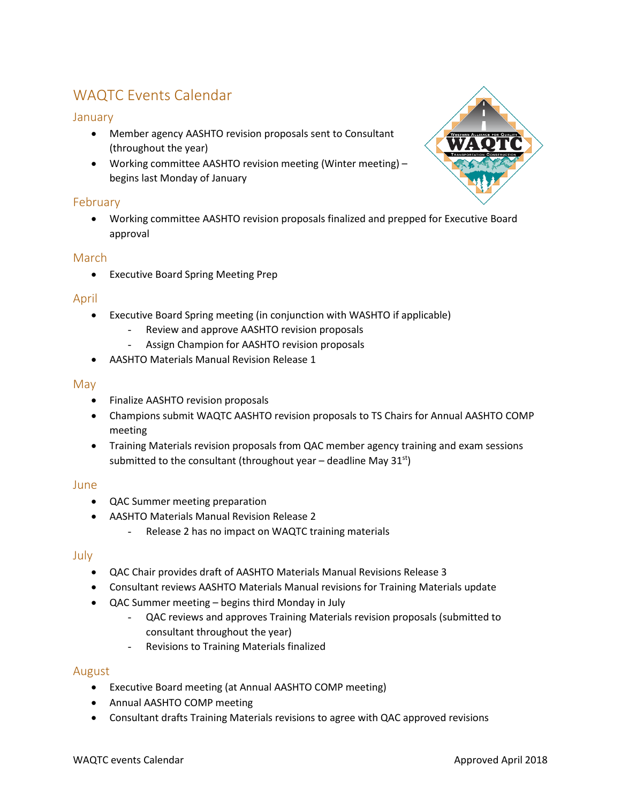# WAQTC Events Calendar

## January

- Member agency AASHTO revision proposals sent to Consultant (throughout the year)
- Working committee AASHTO revision meeting (Winter meeting) begins last Monday of January

# February

• Working committee AASHTO revision proposals finalized and prepped for Executive Board approval

## March

• Executive Board Spring Meeting Prep

## April

- Executive Board Spring meeting (in conjunction with WASHTO if applicable)
	- Review and approve AASHTO revision proposals
	- Assign Champion for AASHTO revision proposals
- AASHTO Materials Manual Revision Release 1

#### May

- Finalize AASHTO revision proposals
- Champions submit WAQTC AASHTO revision proposals to TS Chairs for Annual AASHTO COMP meeting
- Training Materials revision proposals from QAC member agency training and exam sessions submitted to the consultant (throughout year – deadline May  $31^{st}$ )

## June

- QAC Summer meeting preparation
- AASHTO Materials Manual Revision Release 2
	- Release 2 has no impact on WAQTC training materials

#### July

- QAC Chair provides draft of AASHTO Materials Manual Revisions Release 3
- Consultant reviews AASHTO Materials Manual revisions for Training Materials update
- QAC Summer meeting begins third Monday in July
	- QAC reviews and approves Training Materials revision proposals (submitted to consultant throughout the year)
	- Revisions to Training Materials finalized

## August

- Executive Board meeting (at Annual AASHTO COMP meeting)
- Annual AASHTO COMP meeting
- Consultant drafts Training Materials revisions to agree with QAC approved revisions